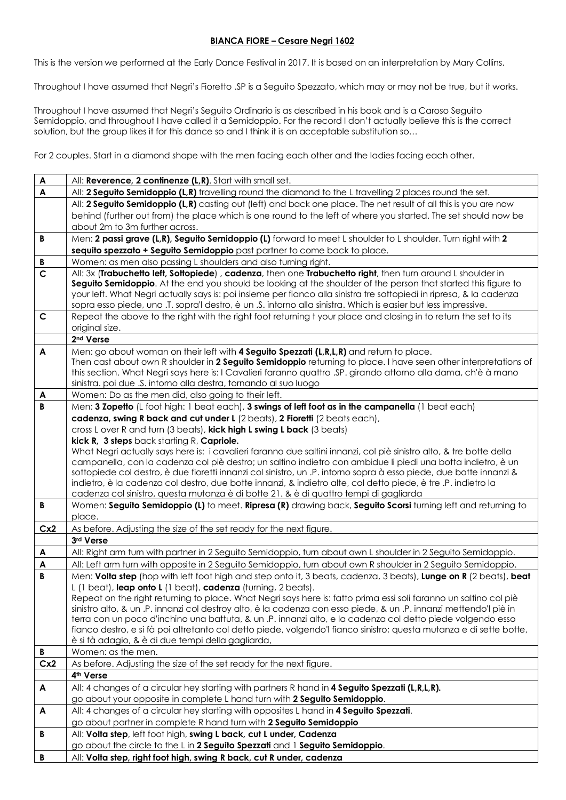## **BIANCA FIORE – Cesare Negri 1602**

This is the version we performed at the Early Dance Festival in 2017. It is based on an interpretation by Mary Collins.

Throughout I have assumed that Negri's Fioretto .SP is a Seguito Spezzato, which may or may not be true, but it works.

Throughout I have assumed that Negri's Seguito Ordinario is as described in his book and is a Caroso Seguito Semidoppio, and throughout I have called it a Semidoppio. For the record I don't actually believe this is the correct solution, but the group likes it for this dance so and I think it is an acceptable substitution so...

For 2 couples. Start in a diamond shape with the men facing each other and the ladies facing each other.

| $\mathbf{A}$     | All: Reverence, 2 continenze (L,R). Start with small set.                                                                                                                                                                          |
|------------------|------------------------------------------------------------------------------------------------------------------------------------------------------------------------------------------------------------------------------------|
| $\mathsf{A}$     | All: 2 Seguito Semidoppio (L,R) travelling round the diamond to the L travelling 2 places round the set.                                                                                                                           |
|                  | All: 2 Seguito Semidoppio (L,R) casting out (left) and back one place. The net result of all this is you are now                                                                                                                   |
|                  | behind (further out from) the place which is one round to the left of where you started. The set should now be                                                                                                                     |
|                  | about 2m to 3m further across.                                                                                                                                                                                                     |
| В                | Men: 2 passi grave (L,R), Seguito Semidoppio (L) forward to meet L shoulder to L shoulder. Turn right with 2                                                                                                                       |
|                  | sequito spezzato + Seguito Semidoppio past partner to come back to place.                                                                                                                                                          |
| B                | Women: as men also passing L shoulders and also turning right.                                                                                                                                                                     |
| $\overline{c}$   | All: 3x (Trabuchetto left, Sottopiede), cadenza, then one Trabuchetto right, then turn around L shoulder in                                                                                                                        |
|                  | Seguito Semidoppio. At the end you should be looking at the shoulder of the person that started this figure to                                                                                                                     |
|                  | your left. What Negri actually says is: poi insieme per fianco alla sinistra tre sottopiedi in ripresa, & la cadenza                                                                                                               |
| $\mathbf C$      | sopra esso piede, uno .T. sopra'l destro, è un .S. intorno alla sinistra. Which is easier but less impressive.<br>Repeat the above to the right with the right foot returning t your place and closing in to return the set to its |
|                  | original size.                                                                                                                                                                                                                     |
|                  | 2 <sup>nd</sup> Verse                                                                                                                                                                                                              |
| $\blacktriangle$ | Men: go about woman on their left with 4 Seguito Spezzati (L,R,L,R) and return to place.                                                                                                                                           |
|                  | Then cast about own R shoulder in 2 Seguito Semidoppio returning to place. I have seen other interpretations of                                                                                                                    |
|                  | this section. What Negri says here is: I Cavalieri faranno quattro .SP. girando attorno alla dama, ch'è à mano                                                                                                                     |
|                  | sinistra. poi due .S. intorno alla destra, tornando al suo luogo                                                                                                                                                                   |
| A                | Women: Do as the men did, also going to their left.                                                                                                                                                                                |
| B                | Men: 3 Zopetto (L foot high: 1 beat each), 3 swings of left foot as in the campanella (1 beat each)                                                                                                                                |
|                  | cadenza, swing R back and cut under L (2 beats), 2 Fioretti (2 beats each),                                                                                                                                                        |
|                  | cross L over R and turn (3 beats), kick high L swing L back (3 beats)                                                                                                                                                              |
|                  | kick R, 3 steps back starting R, Capriole.                                                                                                                                                                                         |
|                  | What Negri actually says here is: i cavalieri faranno due saltini innanzi, col piè sinistro alto, & tre botte della                                                                                                                |
|                  | campanella, con la cadenza col piè destro; un saltino indietro con ambidue li piedi una botta indietro, è un<br>sottopiede col destro, è due fioretti innanzi col sinistro, un .P. intorno sopra à esso piede, due botte innanzi & |
|                  | indietro, è la cadenza col destro, due botte innanzi, & indietro alte, col detto piede, è tre .P. indietro la                                                                                                                      |
|                  | cadenza col sinistro, questa mutanza è di botte 21. & è di quattro tempi di gagliarda                                                                                                                                              |
| B                | Women: Seguito Semidoppio (L) to meet. Ripresa (R) drawing back, Seguito Scorsi turning left and returning to                                                                                                                      |
|                  | place.                                                                                                                                                                                                                             |
| Cx2              | As before. Adjusting the size of the set ready for the next figure.                                                                                                                                                                |
|                  | 3rd Verse                                                                                                                                                                                                                          |
| A                | All: Right arm turn with partner in 2 Seguito Semidoppio, turn about own L shoulder in 2 Seguito Semidoppio.                                                                                                                       |
| A                | All: Left arm turn with opposite in 2 Seguito Semidoppio, turn about own R shoulder in 2 Seguito Semidoppio.                                                                                                                       |
| B                | Men: Volta step (hop with left foot high and step onto it, 3 beats, cadenza, 3 beats), Lunge on R (2 beats), beat                                                                                                                  |
|                  | L (1 beat), leap onto L (1 beat), cadenza (turning, 2 beats).                                                                                                                                                                      |
|                  | Repeat on the right returning to place. What Negri says here is: fatto prima essi soli faranno un saltino col piè                                                                                                                  |
|                  | sinistro alto, & un .P. innanzi col destroy alto, è la cadenza con esso piede, & un .P. innanzi mettendo'l piè in<br>terra con un poco d'inchino una battuta, & un .P. innanzi alto, e la cadenza col detto piede volgendo esso    |
|                  | fianco destro, e si fà poi altretanto col detto piede, volgendo'l fianco sinistro; questa mutanza e di sette botte,                                                                                                                |
|                  | è si fà adagio, & è di due tempi della gagliarda,                                                                                                                                                                                  |
| В                | Women: as the men.                                                                                                                                                                                                                 |
| Cx2              | As before. Adjusting the size of the set ready for the next figure.                                                                                                                                                                |
|                  | 4th Verse                                                                                                                                                                                                                          |
| A                | All: 4 changes of a circular hey starting with partners R hand in 4 Seguito Spezzati (L,R,L,R).                                                                                                                                    |
|                  | go about your opposite in complete L hand turn with 2 Seguito Semidoppio.                                                                                                                                                          |
| A                | All: 4 changes of a circular hey starting with opposites L hand in 4 Seguito Spezzati.                                                                                                                                             |
|                  | go about partner in complete R hand turn with 2 Seguito Semidoppio                                                                                                                                                                 |
| В                | All: Volta step, left foot high, swing L back, cut L under, Cadenza                                                                                                                                                                |
|                  | go about the circle to the L in 2 Seguito Spezzati and 1 Seguito Semidoppio.                                                                                                                                                       |
| B                | All: Volta step, right foot high, swing R back, cut R under, cadenza                                                                                                                                                               |